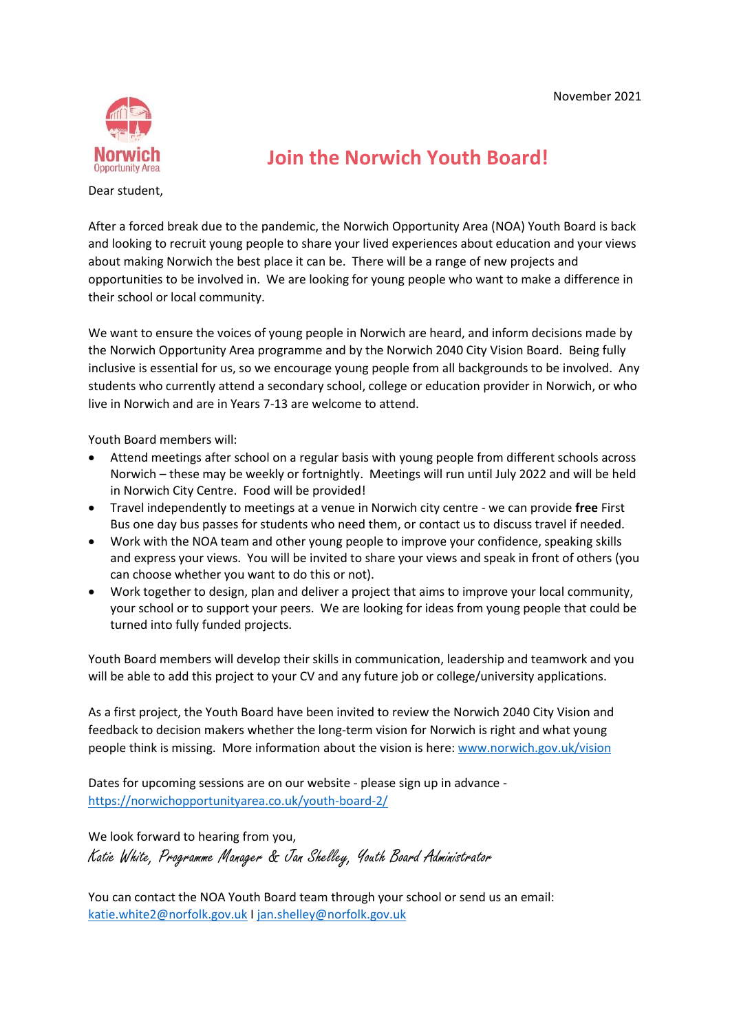

**Join the Norwich Youth Board!**

Dear student,

After a forced break due to the pandemic, the Norwich Opportunity Area (NOA) Youth Board is back and looking to recruit young people to share your lived experiences about education and your views about making Norwich the best place it can be. There will be a range of new projects and opportunities to be involved in. We are looking for young people who want to make a difference in their school or local community.

We want to ensure the voices of young people in Norwich are heard, and inform decisions made by the Norwich Opportunity Area programme and by the Norwich 2040 City Vision Board. Being fully inclusive is essential for us, so we encourage young people from all backgrounds to be involved. Any students who currently attend a secondary school, college or education provider in Norwich, or who live in Norwich and are in Years 7-13 are welcome to attend.

Youth Board members will:

- Attend meetings after school on a regular basis with young people from different schools across Norwich – these may be weekly or fortnightly. Meetings will run until July 2022 and will be held in Norwich City Centre. Food will be provided!
- Travel independently to meetings at a venue in Norwich city centre we can provide **free** First Bus one day bus passes for students who need them, or contact us to discuss travel if needed.
- Work with the NOA team and other young people to improve your confidence, speaking skills and express your views. You will be invited to share your views and speak in front of others (you can choose whether you want to do this or not).
- Work together to design, plan and deliver a project that aims to improve your local community, your school or to support your peers. We are looking for ideas from young people that could be turned into fully funded projects.

Youth Board members will develop their skills in communication, leadership and teamwork and you will be able to add this project to your CV and any future job or college/university applications.

As a first project, the Youth Board have been invited to review the Norwich 2040 City Vision and feedback to decision makers whether the long-term vision for Norwich is right and what young people think is missing. More information about the vision is here[: www.norwich.gov.uk/vision](http://www.norwich.gov.uk/vision)

Dates for upcoming sessions are on our website - please sign up in advance <https://norwichopportunityarea.co.uk/youth-board-2/>

We look forward to hearing from you, Katie White, Programme Manager & Jan Shelley, Youth Board Administrator

You can contact the NOA Youth Board team through your school or send us an email: [katie.white2@norfolk.gov.uk](mailto:katie.white2@norfolk.gov.uk) I [jan.shelley@norfolk.gov.uk](mailto:jan.shelley@norfolk.gov.uk)